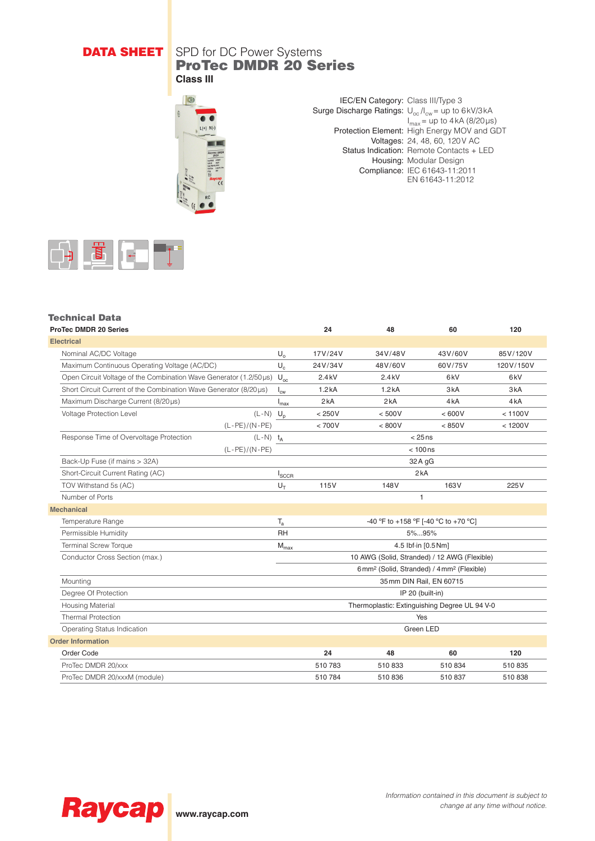## **DATA SHEET** SPD for DC Power Systems ProTec DMDR 20 Series **Class III**



IEC/EN Category: Class III/Type 3 Surge Discharge Ratings:  $U_{oc}I_{cw}$  = up to 6kV/3kA  $I_{\text{max}}$  = up to 4 kA (8/20 µs) Protection Element: High Energy MOV and GDT Voltages: 24, 48, 60, 120V AC Status Indication: Remote Contacts + LED Housing: Modular Design Compliance: IEC 61643-11:2011 EN 61643-11:2012



# Technical Data

| <b>ProTec DMDR 20 Series</b>                                      |                        | 24                      |                                                                  | 48           | 60               | 120              |
|-------------------------------------------------------------------|------------------------|-------------------------|------------------------------------------------------------------|--------------|------------------|------------------|
| <b>Electrical</b>                                                 |                        |                         |                                                                  |              |                  |                  |
| Nominal AC/DC Voltage                                             |                        | $U_{o}$                 | 17V/24V                                                          | 34V/48V      | 43V/60V          | 85V/120V         |
| Maximum Continuous Operating Voltage (AC/DC)                      |                        | $U_{c}$                 | 24V/34V                                                          | 48V/60V      | 60V/75V          | 120V/150V        |
| Open Circuit Voltage of the Combination Wave Generator (1.2/50µs) |                        | $U_{oc}$                | 2.4kV                                                            | 2.4kV        | 6 <sub>k</sub> V | 6 <sub>k</sub> V |
| Short Circuit Current of the Combination Wave Generator (8/20us)  |                        | $I_{\text{cw}}$         | 1.2kA                                                            | 1.2kA        | 3 <sub>k</sub> A | 3 <sub>k</sub> A |
| Maximum Discharge Current (8/20µs)                                |                        | $I_{\text{max}}$        | 2kA                                                              | 2kA          | 4 <sub>k</sub> A | 4kA              |
| Voltage Protection Level                                          | $(L-N)$ $U_p$          |                         | < 250V                                                           | < 500V       | < 600V           | < 1100V          |
|                                                                   | $(L-PE)/(N-PE)$        |                         | < 700V                                                           | < 800V       | < 850V           | < 1200V          |
| Response Time of Overvoltage Protection                           | $(L-N)$ t <sub>A</sub> |                         | $< 25$ ns                                                        |              |                  |                  |
|                                                                   | $(L-PE)/(N-PE)$        |                         | $< 100$ ns                                                       |              |                  |                  |
| Back-Up Fuse (if mains > 32A)                                     |                        |                         | $32A$ gG                                                         |              |                  |                  |
| Short-Circuit Current Rating (AC)                                 |                        | $I_{SCCR}$              | 2kA                                                              |              |                  |                  |
| TOV Withstand 5s (AC)                                             |                        | $U_T$                   | 115V                                                             | 148V         | 163V             | 225V             |
| Number of Ports                                                   |                        |                         |                                                                  | $\mathbf{1}$ |                  |                  |
| <b>Mechanical</b>                                                 |                        |                         |                                                                  |              |                  |                  |
| Temperature Range                                                 |                        | $\mathsf{T}_{\text{a}}$ | -40 °F to +158 °F [-40 °C to +70 °C]                             |              |                  |                  |
| Permissible Humidity                                              |                        | <b>RH</b>               | 5%95%                                                            |              |                  |                  |
| <b>Terminal Screw Torque</b>                                      |                        | $M_{\text{max}}$        | 4.5 lbf-in [0.5 Nm]                                              |              |                  |                  |
| Conductor Cross Section (max.)                                    |                        |                         | 10 AWG (Solid, Stranded) / 12 AWG (Flexible)                     |              |                  |                  |
|                                                                   |                        |                         | 6mm <sup>2</sup> (Solid, Stranded) / 4mm <sup>2</sup> (Flexible) |              |                  |                  |
| Mounting                                                          |                        |                         | 35 mm DIN Rail, EN 60715                                         |              |                  |                  |
| Degree Of Protection                                              |                        |                         | IP 20 (built-in)                                                 |              |                  |                  |
| <b>Housing Material</b>                                           |                        |                         | Thermoplastic: Extinguishing Degree UL 94 V-0                    |              |                  |                  |
| <b>Thermal Protection</b>                                         |                        |                         | Yes                                                              |              |                  |                  |
| Operating Status Indication                                       |                        |                         | Green LED                                                        |              |                  |                  |
| <b>Order Information</b>                                          |                        |                         |                                                                  |              |                  |                  |
| Order Code                                                        |                        |                         | 24                                                               | 48           | 60               | 120              |
| ProTec DMDR 20/xxx                                                |                        |                         | 510 783                                                          | 510833       | 510 834          | 510 835          |
| ProTec DMDR 20/xxxM (module)                                      |                        |                         | 510 784                                                          | 510836       | 510 837          | 510838           |